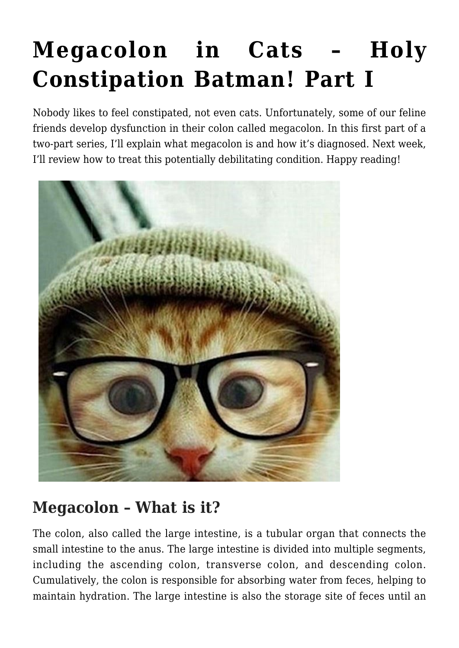# **[Megacolon in Cats – Holy](https://criticalcaredvm.com/megacolon-cats-part-i/) [Constipation Batman! Part I](https://criticalcaredvm.com/megacolon-cats-part-i/)**

Nobody likes to feel constipated, not even cats. Unfortunately, some of our feline friends develop dysfunction in their colon called megacolon. In this first part of a two-part series, I'll explain what megacolon is and how it's diagnosed. Next week, I'll review how to treat this potentially debilitating condition. Happy reading!



### **Megacolon – What is it?**

The colon, also called the large intestine, is a tubular organ that connects the small intestine to the anus. The large intestine is divided into multiple segments, including the ascending colon, transverse colon, and descending colon. Cumulatively, the colon is responsible for absorbing water from feces, helping to maintain hydration. The large intestine is also the storage site of feces until an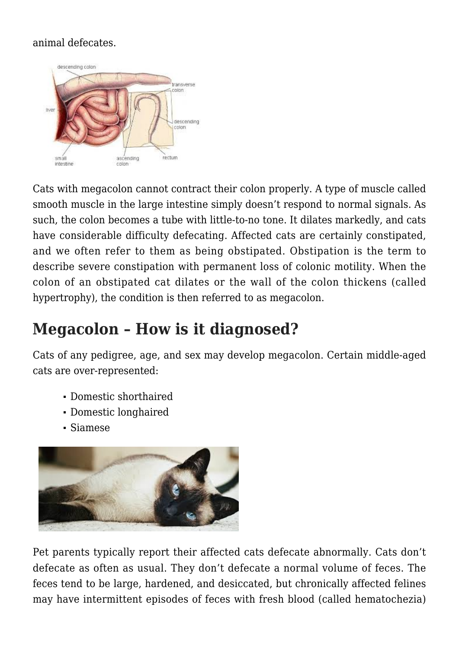#### animal defecates.



Cats with megacolon cannot contract their colon properly. A type of muscle called smooth muscle in the large intestine simply doesn't respond to normal signals. As such, the colon becomes a tube with little-to-no tone. It dilates markedly, and cats have considerable difficulty defecating. Affected cats are certainly constipated, and we often refer to them as being obstipated. Obstipation is the term to describe severe constipation with permanent loss of colonic motility. When the colon of an obstipated cat dilates or the wall of the colon thickens (called hypertrophy), the condition is then referred to as megacolon.

### **Megacolon – How is it diagnosed?**

Cats of any pedigree, age, and sex may develop megacolon. Certain middle-aged cats are over-represented:

- Domestic shorthaired
- Domestic longhaired
- Siamese



Pet parents typically report their affected cats defecate abnormally. Cats don't defecate as often as usual. They don't defecate a normal volume of feces. The feces tend to be large, hardened, and desiccated, but chronically affected felines may have intermittent episodes of feces with fresh blood (called hematochezia)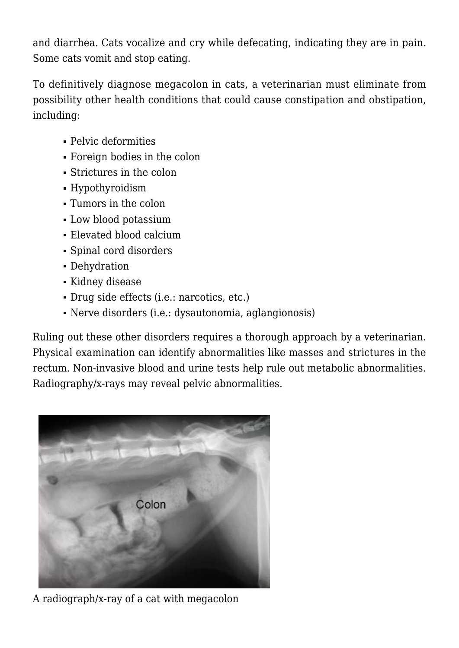and diarrhea. Cats vocalize and cry while defecating, indicating they are in pain. Some cats vomit and stop eating.

To definitively diagnose megacolon in cats, a veterinarian must eliminate from possibility other health conditions that could cause constipation and obstipation, including:

- Pelvic deformities
- Foreign bodies in the colon
- Strictures in the colon
- Hypothyroidism
- Tumors in the colon
- Low blood potassium
- Elevated blood calcium
- Spinal cord disorders
- Dehydration
- Kidney disease
- Drug side effects (i.e.: narcotics, etc.)
- Nerve disorders (i.e.: dysautonomia, aglangionosis)

Ruling out these other disorders requires a thorough approach by a veterinarian. Physical examination can identify abnormalities like masses and strictures in the rectum. Non-invasive blood and urine tests help rule out metabolic abnormalities. Radiography/x-rays may reveal pelvic abnormalities.



A radiograph/x-ray of a cat with megacolon